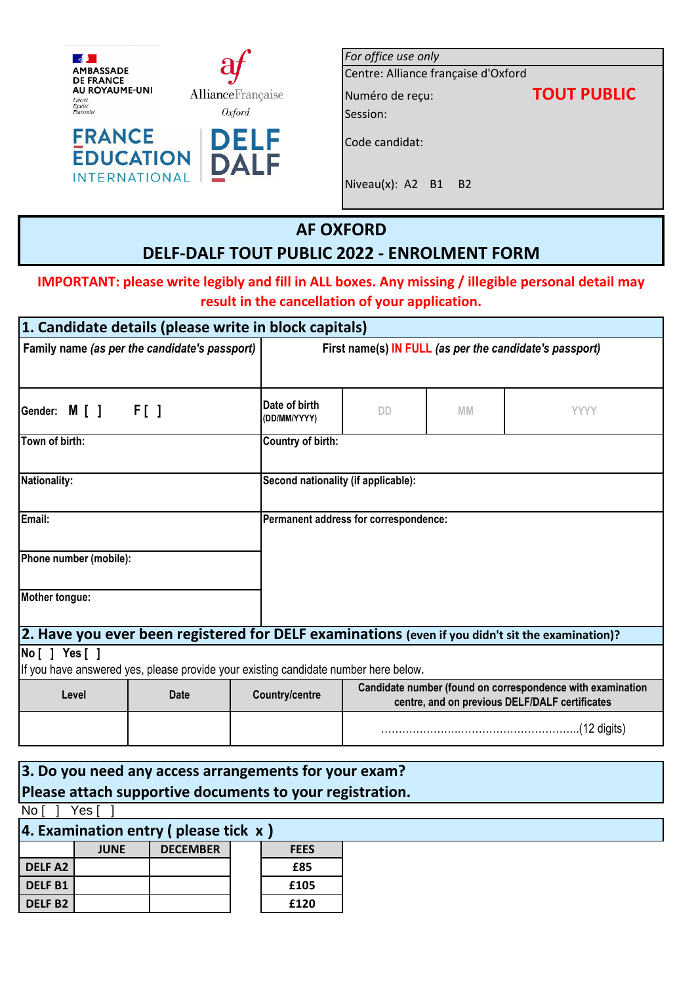

**INTERNATIONAL** 

| For office use only                 |                    |
|-------------------------------------|--------------------|
| Centre: Alliance française d'Oxford |                    |
| Numéro de reçu:                     | <b>TOUT PUBLIC</b> |
| Session:                            |                    |
| Code candidat:                      |                    |
| Niveau $(x)$ : A2 B1<br><b>B2</b>   |                    |

# **AF OXFORD DELF-DALF TOUT PUBLIC 2022 - ENROLMENT FORM**

## **IMPORTANT: please write legibly and fill in ALL boxes. Any missing / illegible personal detail may result in the cancellation of your application.**

|                                               |             | 1. Candidate details (please write in block capitals)                               |                                                         |           |                                                                                                              |
|-----------------------------------------------|-------------|-------------------------------------------------------------------------------------|---------------------------------------------------------|-----------|--------------------------------------------------------------------------------------------------------------|
| Family name (as per the candidate's passport) |             |                                                                                     | First name(s) IN FULL (as per the candidate's passport) |           |                                                                                                              |
| Gender: M [ ]                                 | $F[$ ]      | Date of birth<br>(DD/MM/YYYY)                                                       | <b>DD</b>                                               | <b>MM</b> | <b>YYYY</b>                                                                                                  |
| Town of birth:                                |             | Country of birth:                                                                   |                                                         |           |                                                                                                              |
| <b>Nationality:</b>                           |             | Second nationality (if applicable):                                                 |                                                         |           |                                                                                                              |
| Email:                                        |             |                                                                                     | Permanent address for correspondence:                   |           |                                                                                                              |
| Phone number (mobile):                        |             |                                                                                     |                                                         |           |                                                                                                              |
| Mother tongue:                                |             |                                                                                     |                                                         |           |                                                                                                              |
|                                               |             |                                                                                     |                                                         |           | 2. Have you ever been registered for DELF examinations (even if you didn't sit the examination)?             |
| No [ ] Yes [ ]                                |             | If you have answered yes, please provide your existing candidate number here below. |                                                         |           |                                                                                                              |
| Level                                         | <b>Date</b> | <b>Country/centre</b>                                                               |                                                         |           | Candidate number (found on correspondence with examination<br>centre, and on previous DELF/DALF certificates |
|                                               |             |                                                                                     |                                                         |           |                                                                                                              |

| 3. Do you need any access arrangements for your exam?    |             |                                         |  |             |  |
|----------------------------------------------------------|-------------|-----------------------------------------|--|-------------|--|
| Please attach supportive documents to your registration. |             |                                         |  |             |  |
| No I                                                     | Yes I       |                                         |  |             |  |
|                                                          |             | 4. Examination entry (please tick $x$ ) |  |             |  |
|                                                          | <b>JUNE</b> | <b>DECEMBER</b>                         |  | <b>FEES</b> |  |
| <b>DELFA2</b>                                            |             |                                         |  | £85         |  |
| <b>DELFB1</b>                                            |             |                                         |  | £105        |  |
| <b>DELFB2</b>                                            |             |                                         |  | £120        |  |